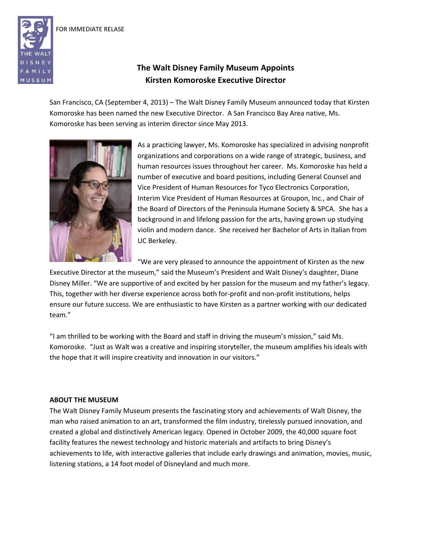FOR IMMEDIATE RELASE



## **The Walt Disney Family Museum Appoints Kirsten Komoroske Executive Director**

San Francisco, CA (September 4, 2013) – The Walt Disney Family Museum announced today that Kirsten Komoroske has been named the new Executive Director. A San Francisco Bay Area native, Ms. Komoroske has been serving as interim director since May 2013.



As a practicing lawyer, Ms. Komoroske has specialized in advising nonprofit organizations and corporations on a wide range of strategic, business, and human resources issues throughout her career. Ms. Komoroske has held a number of executive and board positions, including General Counsel and Vice President of Human Resources for Tyco Electronics Corporation, Interim Vice President of Human Resources at Groupon, Inc., and Chair of the Board of Directors of the Peninsula Humane Society & SPCA. She has a background in and lifelong passion for the arts, having grown up studying violin and modern dance. She received her Bachelor of Arts in Italian from UC Berkeley.

"We are very pleased to announce the appointment of Kirsten as the new

Executive Director at the museum," said the Museum's President and Walt Disney's daughter, Diane Disney Miller. "We are supportive of and excited by her passion for the museum and my father's legacy. This, together with her diverse experience across both for-profit and non-profit institutions, helps ensure our future success. We are enthusiastic to have Kirsten as a partner working with our dedicated team."

"I am thrilled to be working with the Board and staff in driving the museum's mission," said Ms. Komoroske. "Just as Walt was a creative and inspiring storyteller, the museum amplifies his ideals with the hope that it will inspire creativity and innovation in our visitors."

## **ABOUT THE MUSEUM**

The Walt Disney Family Museum presents the fascinating story and achievements of Walt Disney, the man who raised animation to an art, transformed the film industry, tirelessly pursued innovation, and created a global and distinctively American legacy. Opened in October 2009, the 40,000 square foot facility features the newest technology and historic materials and artifacts to bring Disney's achievements to life, with interactive galleries that include early drawings and animation, movies, music, listening stations, a 14 foot model of Disneyland and much more.